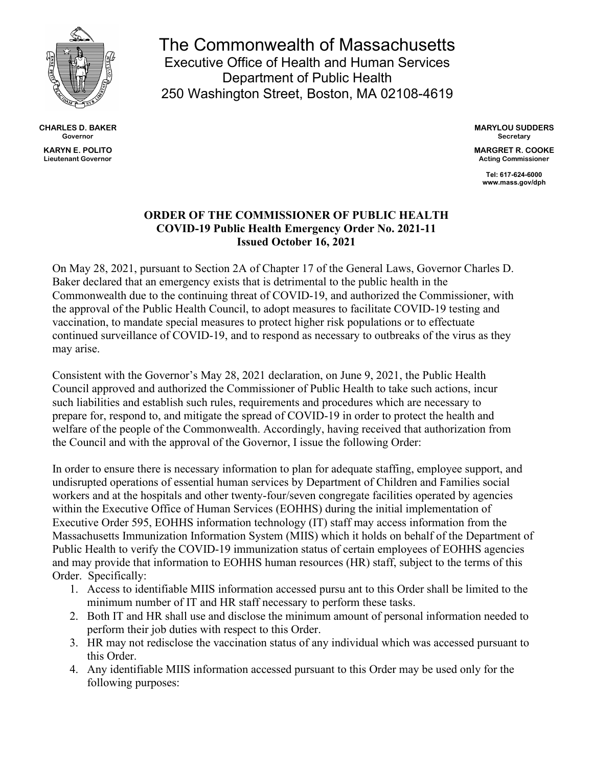

**CHARLES D. BAKER Governor KARYN E. POLITO Lieutenant Governor**

The Commonwealth of Massachusetts Executive Office of Health and Human Services Department of Public Health 250 Washington Street, Boston, MA 02108-4619

> **MARYLOU SUDDERS Secretary**

> **MARGRET R. COOKE Acting Commissioner**

> > **Tel: 617-624-6000 www.mass.gov/dph**

## **ORDER OF THE COMMISSIONER OF PUBLIC HEALTH COVID-19 Public Health Emergency Order No. 2021-11 Issued October 16, 2021**

On May 28, 2021, pursuant to Section 2A of Chapter 17 of the General Laws, Governor Charles D. Baker declared that an emergency exists that is detrimental to the public health in the Commonwealth due to the continuing threat of COVID-19, and authorized the Commissioner, with the approval of the Public Health Council, to adopt measures to facilitate COVID-19 testing and vaccination, to mandate special measures to protect higher risk populations or to effectuate continued surveillance of COVID-19, and to respond as necessary to outbreaks of the virus as they may arise.

Consistent with the Governor's May 28, 2021 declaration, on June 9, 2021, the Public Health Council approved and authorized the Commissioner of Public Health to take such actions, incur such liabilities and establish such rules, requirements and procedures which are necessary to prepare for, respond to, and mitigate the spread of COVID-19 in order to protect the health and welfare of the people of the Commonwealth. Accordingly, having received that authorization from the Council and with the approval of the Governor, I issue the following Order:

In order to ensure there is necessary information to plan for adequate staffing, employee support, and undisrupted operations of essential human services by Department of Children and Families social workers and at the hospitals and other twenty-four/seven congregate facilities operated by agencies within the Executive Office of Human Services (EOHHS) during the initial implementation of Executive Order 595, EOHHS information technology (IT) staff may access information from the Massachusetts Immunization Information System (MIIS) which it holds on behalf of the Department of Public Health to verify the COVID-19 immunization status of certain employees of EOHHS agencies and may provide that information to EOHHS human resources (HR) staff, subject to the terms of this Order. Specifically:

- 1. Access to identifiable MIIS information accessed pursu ant to this Order shall be limited to the minimum number of IT and HR staff necessary to perform these tasks.
- 2. Both IT and HR shall use and disclose the minimum amount of personal information needed to perform their job duties with respect to this Order.
- 3. HR may not redisclose the vaccination status of any individual which was accessed pursuant to this Order.
- 4. Any identifiable MIIS information accessed pursuant to this Order may be used only for the following purposes: